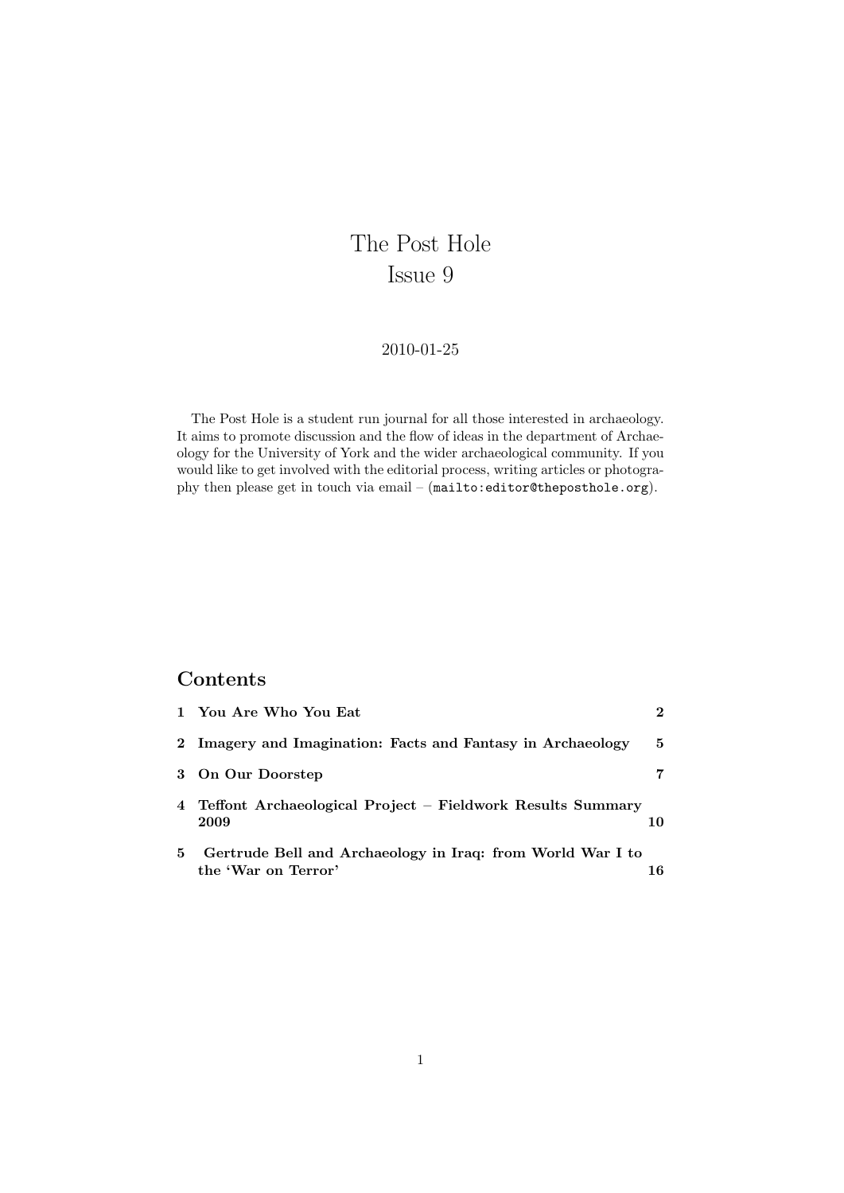# The Post Hole Issue 9

### 2010-01-25

The Post Hole is a student run journal for all those interested in archaeology. It aims to promote discussion and the flow of ideas in the department of Archaeology for the University of York and the wider archaeological community. If you would like to get involved with the editorial process, writing articles or photography then please get in touch via email – (<mailto:editor@theposthole.org>).

## Contents

|   | 1 You Are Who You Eat                                                             | $\mathcal{D}$ |
|---|-----------------------------------------------------------------------------------|---------------|
|   | 2 Imagery and Imagination: Facts and Fantasy in Archaeology                       | -5            |
|   | 3 On Our Doorstep                                                                 |               |
|   | 4 Teffont Archaeological Project – Fieldwork Results Summary<br>2009              | 10            |
| 5 | Gertrude Bell and Archaeology in Iraq: from World War I to<br>the 'War on Terror' | 16            |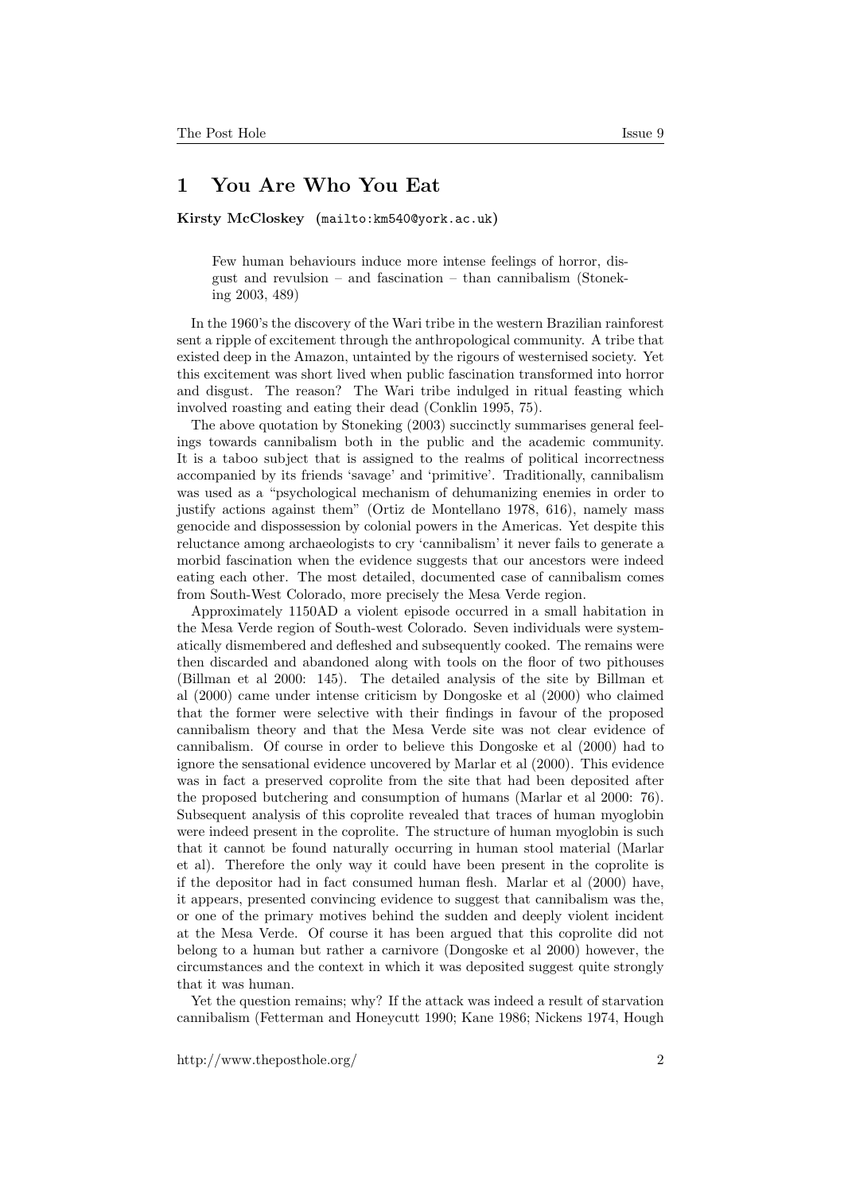### <span id="page-1-0"></span>1 You Are Who You Eat

Kirsty McCloskey (<mailto:km540@york.ac.uk>)

Few human behaviours induce more intense feelings of horror, disgust and revulsion – and fascination – than cannibalism (Stoneking 2003, 489)

In the 1960's the discovery of the Wari tribe in the western Brazilian rainforest sent a ripple of excitement through the anthropological community. A tribe that existed deep in the Amazon, untainted by the rigours of westernised society. Yet this excitement was short lived when public fascination transformed into horror and disgust. The reason? The Wari tribe indulged in ritual feasting which involved roasting and eating their dead (Conklin 1995, 75).

The above quotation by Stoneking (2003) succinctly summarises general feelings towards cannibalism both in the public and the academic community. It is a taboo subject that is assigned to the realms of political incorrectness accompanied by its friends 'savage' and 'primitive'. Traditionally, cannibalism was used as a "psychological mechanism of dehumanizing enemies in order to justify actions against them" (Ortiz de Montellano 1978, 616), namely mass genocide and dispossession by colonial powers in the Americas. Yet despite this reluctance among archaeologists to cry 'cannibalism' it never fails to generate a morbid fascination when the evidence suggests that our ancestors were indeed eating each other. The most detailed, documented case of cannibalism comes from South-West Colorado, more precisely the Mesa Verde region.

Approximately 1150AD a violent episode occurred in a small habitation in the Mesa Verde region of South-west Colorado. Seven individuals were systematically dismembered and defleshed and subsequently cooked. The remains were then discarded and abandoned along with tools on the floor of two pithouses (Billman et al 2000: 145). The detailed analysis of the site by Billman et al (2000) came under intense criticism by Dongoske et al (2000) who claimed that the former were selective with their findings in favour of the proposed cannibalism theory and that the Mesa Verde site was not clear evidence of cannibalism. Of course in order to believe this Dongoske et al (2000) had to ignore the sensational evidence uncovered by Marlar et al (2000). This evidence was in fact a preserved coprolite from the site that had been deposited after the proposed butchering and consumption of humans (Marlar et al 2000: 76). Subsequent analysis of this coprolite revealed that traces of human myoglobin were indeed present in the coprolite. The structure of human myoglobin is such that it cannot be found naturally occurring in human stool material (Marlar et al). Therefore the only way it could have been present in the coprolite is if the depositor had in fact consumed human flesh. Marlar et al (2000) have, it appears, presented convincing evidence to suggest that cannibalism was the, or one of the primary motives behind the sudden and deeply violent incident at the Mesa Verde. Of course it has been argued that this coprolite did not belong to a human but rather a carnivore (Dongoske et al 2000) however, the circumstances and the context in which it was deposited suggest quite strongly that it was human.

Yet the question remains; why? If the attack was indeed a result of starvation cannibalism (Fetterman and Honeycutt 1990; Kane 1986; Nickens 1974, Hough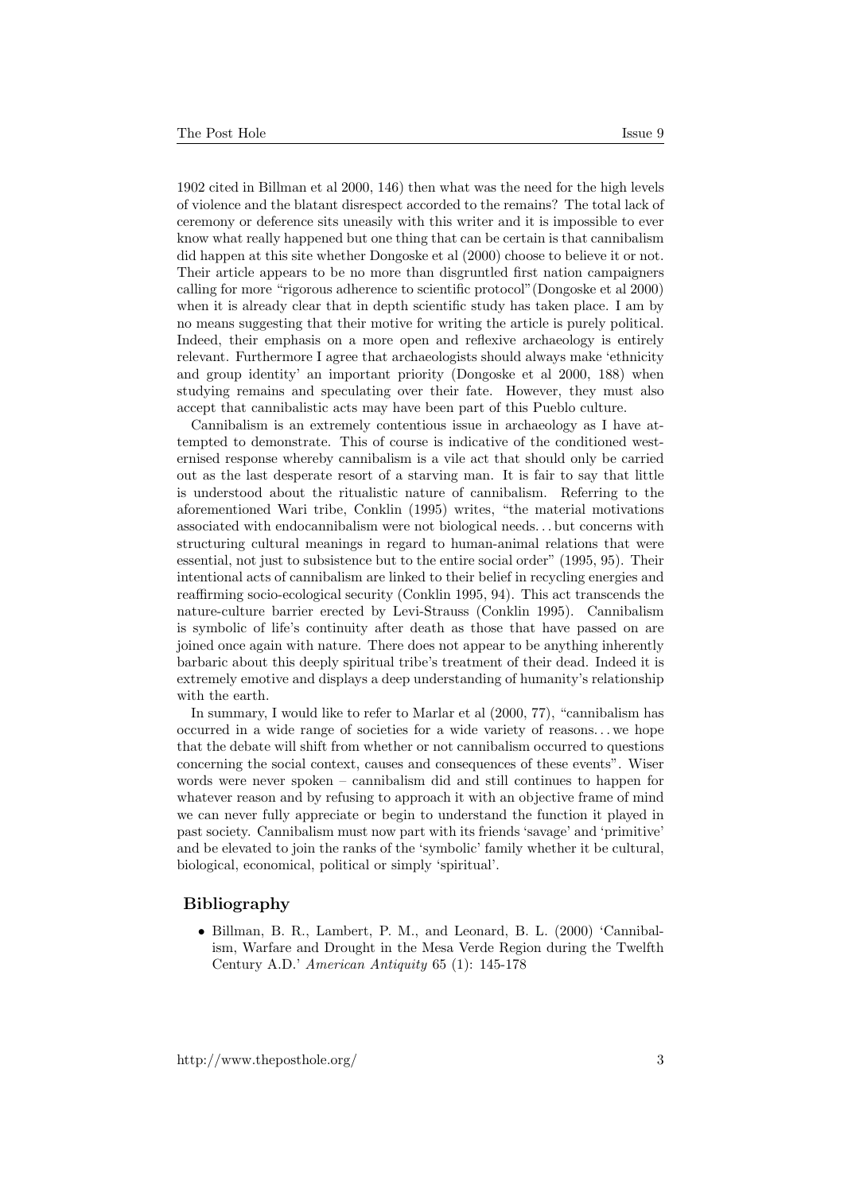1902 cited in Billman et al 2000, 146) then what was the need for the high levels of violence and the blatant disrespect accorded to the remains? The total lack of ceremony or deference sits uneasily with this writer and it is impossible to ever know what really happened but one thing that can be certain is that cannibalism did happen at this site whether Dongoske et al (2000) choose to believe it or not. Their article appears to be no more than disgruntled first nation campaigners calling for more "rigorous adherence to scientific protocol"(Dongoske et al 2000) when it is already clear that in depth scientific study has taken place. I am by

no means suggesting that their motive for writing the article is purely political. Indeed, their emphasis on a more open and reflexive archaeology is entirely relevant. Furthermore I agree that archaeologists should always make 'ethnicity and group identity' an important priority (Dongoske et al 2000, 188) when studying remains and speculating over their fate. However, they must also accept that cannibalistic acts may have been part of this Pueblo culture.

Cannibalism is an extremely contentious issue in archaeology as I have attempted to demonstrate. This of course is indicative of the conditioned westernised response whereby cannibalism is a vile act that should only be carried out as the last desperate resort of a starving man. It is fair to say that little is understood about the ritualistic nature of cannibalism. Referring to the aforementioned Wari tribe, Conklin (1995) writes, "the material motivations associated with endocannibalism were not biological needs. . . but concerns with structuring cultural meanings in regard to human-animal relations that were essential, not just to subsistence but to the entire social order" (1995, 95). Their intentional acts of cannibalism are linked to their belief in recycling energies and reaffirming socio-ecological security (Conklin 1995, 94). This act transcends the nature-culture barrier erected by Levi-Strauss (Conklin 1995). Cannibalism is symbolic of life's continuity after death as those that have passed on are joined once again with nature. There does not appear to be anything inherently barbaric about this deeply spiritual tribe's treatment of their dead. Indeed it is extremely emotive and displays a deep understanding of humanity's relationship with the earth.

In summary, I would like to refer to Marlar et al (2000, 77), "cannibalism has occurred in a wide range of societies for a wide variety of reasons. . . we hope that the debate will shift from whether or not cannibalism occurred to questions concerning the social context, causes and consequences of these events". Wiser words were never spoken – cannibalism did and still continues to happen for whatever reason and by refusing to approach it with an objective frame of mind we can never fully appreciate or begin to understand the function it played in past society. Cannibalism must now part with its friends 'savage' and 'primitive' and be elevated to join the ranks of the 'symbolic' family whether it be cultural, biological, economical, political or simply 'spiritual'.

#### Bibliography

• Billman, B. R., Lambert, P. M., and Leonard, B. L. (2000) 'Cannibalism, Warfare and Drought in the Mesa Verde Region during the Twelfth Century A.D.' American Antiquity 65 (1): 145-178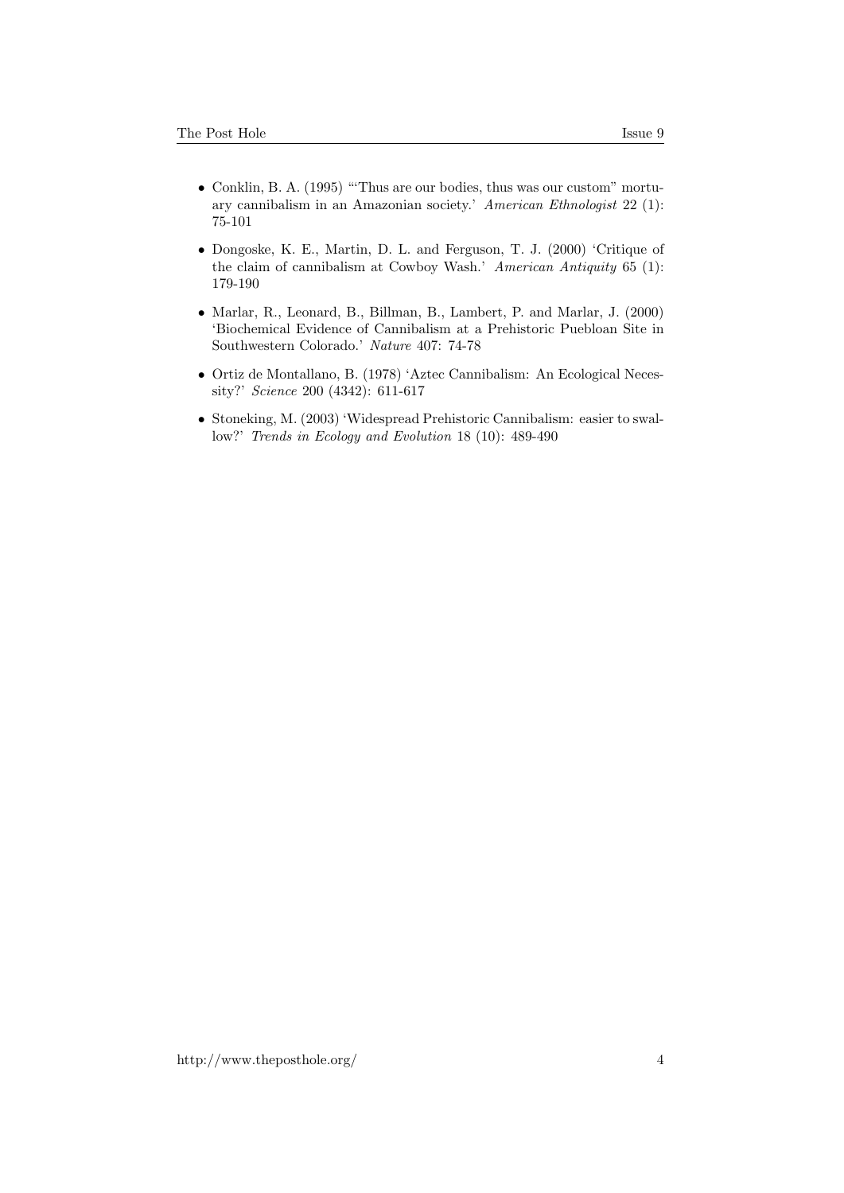- Conklin, B. A. (1995) "'Thus are our bodies, thus was our custom" mortuary cannibalism in an Amazonian society.' American Ethnologist 22 (1): 75-101
- Dongoske, K. E., Martin, D. L. and Ferguson, T. J. (2000) 'Critique of the claim of cannibalism at Cowboy Wash.' American Antiquity 65 (1): 179-190
- Marlar, R., Leonard, B., Billman, B., Lambert, P. and Marlar, J. (2000) 'Biochemical Evidence of Cannibalism at a Prehistoric Puebloan Site in Southwestern Colorado.' Nature 407: 74-78
- Ortiz de Montallano, B. (1978) 'Aztec Cannibalism: An Ecological Necessity?' Science 200 (4342): 611-617
- Stoneking, M. (2003) 'Widespread Prehistoric Cannibalism: easier to swallow?' Trends in Ecology and Evolution 18 (10): 489-490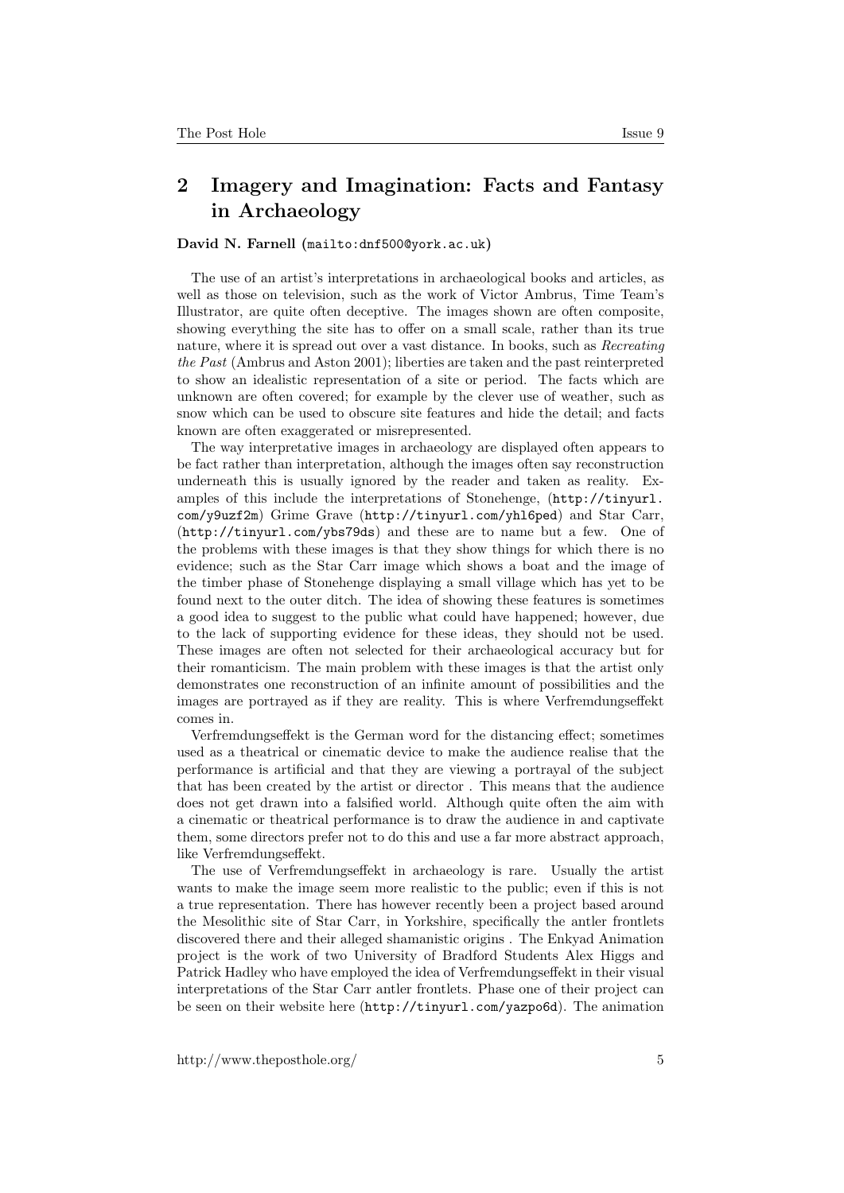## <span id="page-4-0"></span>2 Imagery and Imagination: Facts and Fantasy in Archaeology

#### David N. Farnell (<mailto:dnf500@york.ac.uk>)

The use of an artist's interpretations in archaeological books and articles, as well as those on television, such as the work of Victor Ambrus, Time Team's Illustrator, are quite often deceptive. The images shown are often composite, showing everything the site has to offer on a small scale, rather than its true nature, where it is spread out over a vast distance. In books, such as Recreating the Past (Ambrus and Aston 2001); liberties are taken and the past reinterpreted to show an idealistic representation of a site or period. The facts which are unknown are often covered; for example by the clever use of weather, such as snow which can be used to obscure site features and hide the detail; and facts known are often exaggerated or misrepresented.

The way interpretative images in archaeology are displayed often appears to be fact rather than interpretation, although the images often say reconstruction underneath this is usually ignored by the reader and taken as reality. Examples of this include the interpretations of Stonehenge, ([http://tinyurl.](http://tinyurl.com/y9uzf2m) [com/y9uzf2m](http://tinyurl.com/y9uzf2m)) Grime Grave (<http://tinyurl.com/yhl6ped>) and Star Carr, (<http://tinyurl.com/ybs79ds>) and these are to name but a few. One of the problems with these images is that they show things for which there is no evidence; such as the Star Carr image which shows a boat and the image of the timber phase of Stonehenge displaying a small village which has yet to be found next to the outer ditch. The idea of showing these features is sometimes a good idea to suggest to the public what could have happened; however, due to the lack of supporting evidence for these ideas, they should not be used. These images are often not selected for their archaeological accuracy but for their romanticism. The main problem with these images is that the artist only demonstrates one reconstruction of an infinite amount of possibilities and the images are portrayed as if they are reality. This is where Verfremdungseffekt comes in.

Verfremdungseffekt is the German word for the distancing effect; sometimes used as a theatrical or cinematic device to make the audience realise that the performance is artificial and that they are viewing a portrayal of the subject that has been created by the artist or director . This means that the audience does not get drawn into a falsified world. Although quite often the aim with a cinematic or theatrical performance is to draw the audience in and captivate them, some directors prefer not to do this and use a far more abstract approach, like Verfremdungseffekt.

The use of Verfremdungseffekt in archaeology is rare. Usually the artist wants to make the image seem more realistic to the public; even if this is not a true representation. There has however recently been a project based around the Mesolithic site of Star Carr, in Yorkshire, specifically the antler frontlets discovered there and their alleged shamanistic origins . The Enkyad Animation project is the work of two University of Bradford Students Alex Higgs and Patrick Hadley who have employed the idea of Verfremdungseffekt in their visual interpretations of the Star Carr antler frontlets. Phase one of their project can be seen on their website here (<http://tinyurl.com/yazpo6d>). The animation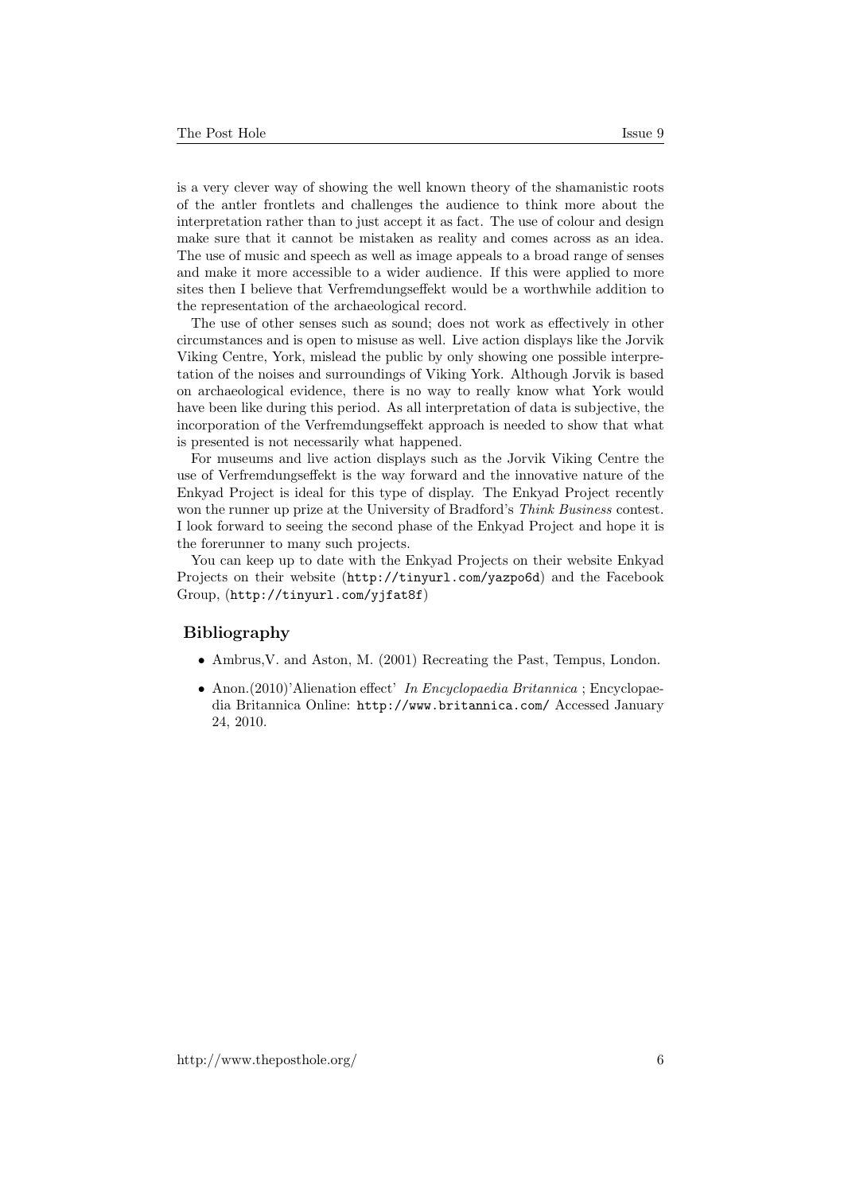is a very clever way of showing the well known theory of the shamanistic roots of the antler frontlets and challenges the audience to think more about the interpretation rather than to just accept it as fact. The use of colour and design make sure that it cannot be mistaken as reality and comes across as an idea. The use of music and speech as well as image appeals to a broad range of senses and make it more accessible to a wider audience. If this were applied to more sites then I believe that Verfremdungseffekt would be a worthwhile addition to the representation of the archaeological record.

The use of other senses such as sound; does not work as effectively in other circumstances and is open to misuse as well. Live action displays like the Jorvik Viking Centre, York, mislead the public by only showing one possible interpretation of the noises and surroundings of Viking York. Although Jorvik is based on archaeological evidence, there is no way to really know what York would have been like during this period. As all interpretation of data is subjective, the incorporation of the Verfremdungseffekt approach is needed to show that what is presented is not necessarily what happened.

For museums and live action displays such as the Jorvik Viking Centre the use of Verfremdungseffekt is the way forward and the innovative nature of the Enkyad Project is ideal for this type of display. The Enkyad Project recently won the runner up prize at the University of Bradford's *Think Business* contest. I look forward to seeing the second phase of the Enkyad Project and hope it is the forerunner to many such projects.

You can keep up to date with the Enkyad Projects on their website Enkyad Projects on their website (<http://tinyurl.com/yazpo6d>) and the Facebook Group, (<http://tinyurl.com/yjfat8f>)

#### Bibliography

- Ambrus,V. and Aston, M. (2001) Recreating the Past, Tempus, London.
- Anon.(2010)'Alienation effect' In Encyclopaedia Britannica ; Encyclopaedia Britannica Online: <http://www.britannica.com/> Accessed January 24, 2010.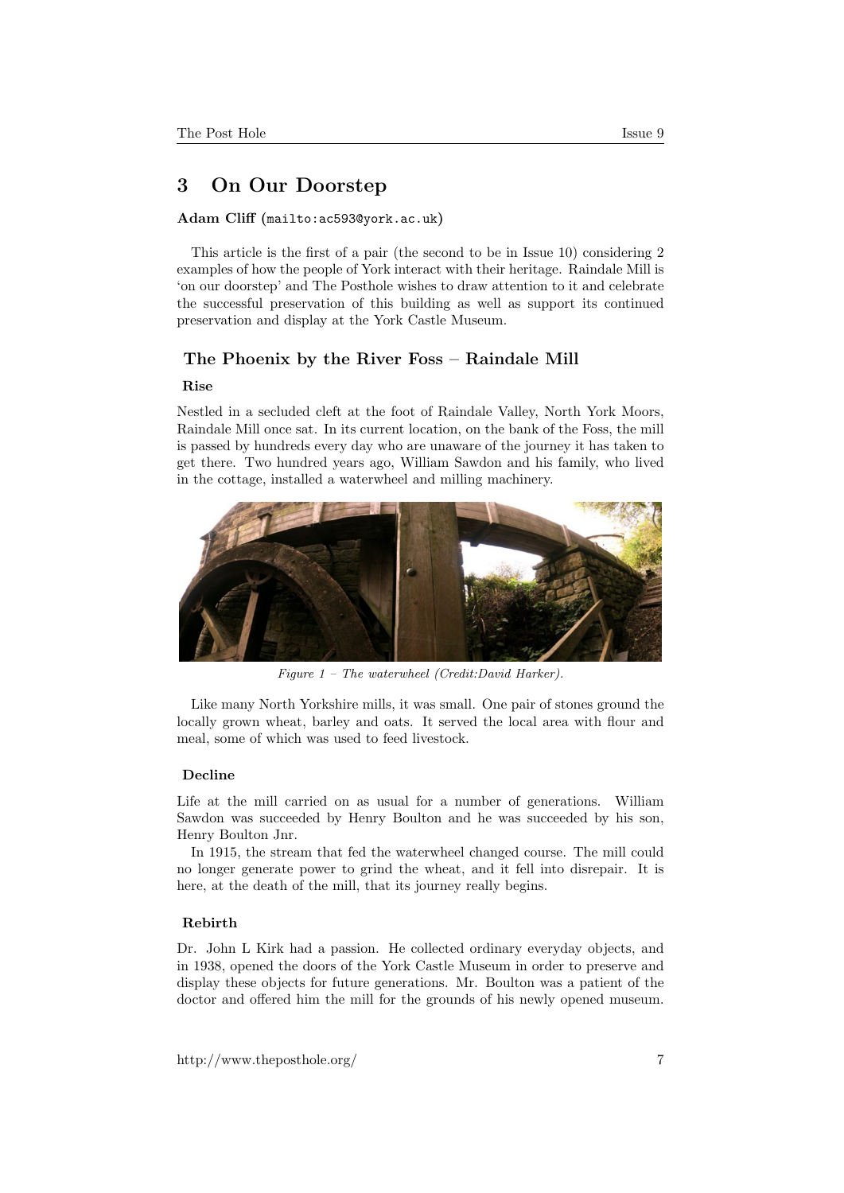### <span id="page-6-0"></span>3 On Our Doorstep

#### Adam Cliff (<mailto:ac593@york.ac.uk>)

This article is the first of a pair (the second to be in Issue 10) considering 2 examples of how the people of York interact with their heritage. Raindale Mill is 'on our doorstep' and The Posthole wishes to draw attention to it and celebrate the successful preservation of this building as well as support its continued preservation and display at the York Castle Museum.

#### The Phoenix by the River Foss – Raindale Mill

#### Rise

Nestled in a secluded cleft at the foot of Raindale Valley, North York Moors, Raindale Mill once sat. In its current location, on the bank of the Foss, the mill is passed by hundreds every day who are unaware of the journey it has taken to get there. Two hundred years ago, William Sawdon and his family, who lived in the cottage, installed a waterwheel and milling machinery.



Figure 1 – The waterwheel (Credit:David Harker).

Like many North Yorkshire mills, it was small. One pair of stones ground the locally grown wheat, barley and oats. It served the local area with flour and meal, some of which was used to feed livestock.

#### Decline

Life at the mill carried on as usual for a number of generations. William Sawdon was succeeded by Henry Boulton and he was succeeded by his son, Henry Boulton Jnr.

In 1915, the stream that fed the waterwheel changed course. The mill could no longer generate power to grind the wheat, and it fell into disrepair. It is here, at the death of the mill, that its journey really begins.

#### Rebirth

Dr. John L Kirk had a passion. He collected ordinary everyday objects, and in 1938, opened the doors of the York Castle Museum in order to preserve and display these objects for future generations. Mr. Boulton was a patient of the doctor and offered him the mill for the grounds of his newly opened museum.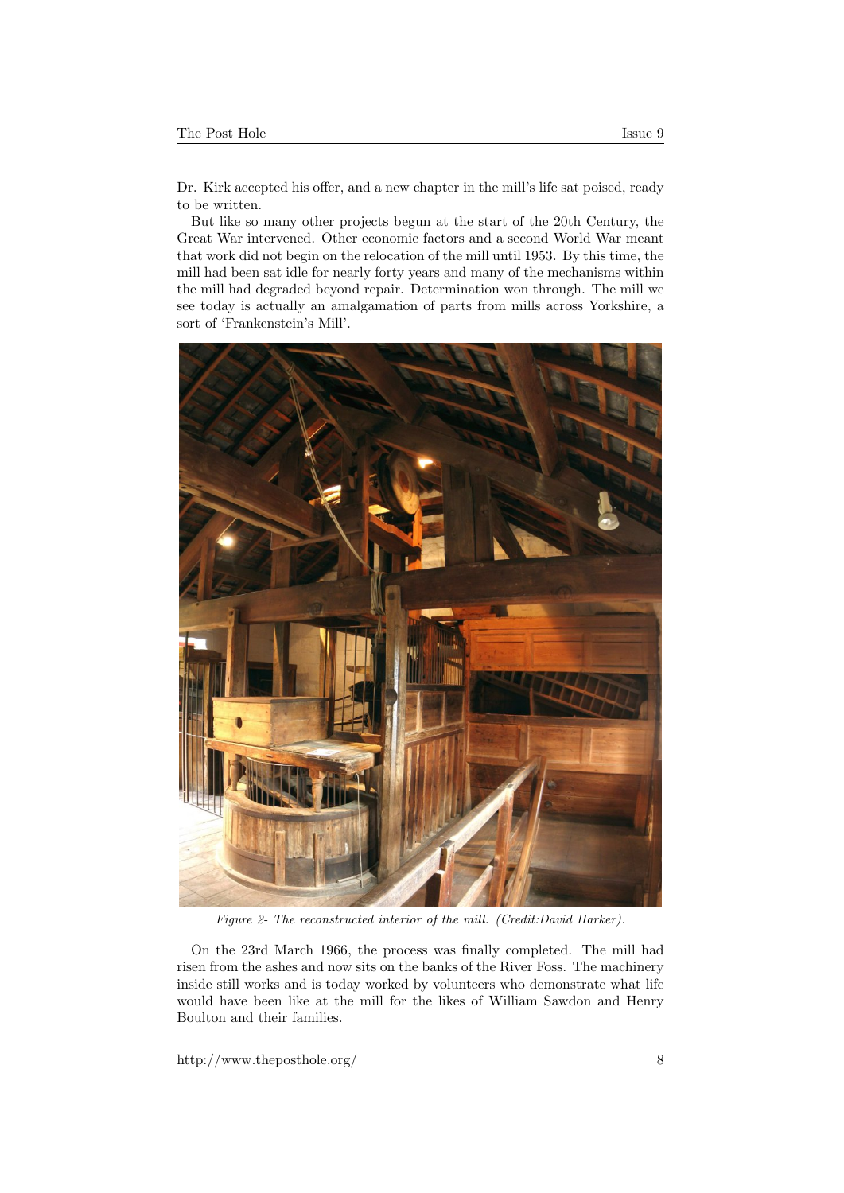Dr. Kirk accepted his offer, and a new chapter in the mill's life sat poised, ready to be written.

But like so many other projects begun at the start of the 20th Century, the Great War intervened. Other economic factors and a second World War meant that work did not begin on the relocation of the mill until 1953. By this time, the mill had been sat idle for nearly forty years and many of the mechanisms within the mill had degraded beyond repair. Determination won through. The mill we see today is actually an amalgamation of parts from mills across Yorkshire, a sort of 'Frankenstein's Mill'.



Figure 2- The reconstructed interior of the mill. (Credit:David Harker).

On the 23rd March 1966, the process was finally completed. The mill had risen from the ashes and now sits on the banks of the River Foss. The machinery inside still works and is today worked by volunteers who demonstrate what life would have been like at the mill for the likes of William Sawdon and Henry Boulton and their families.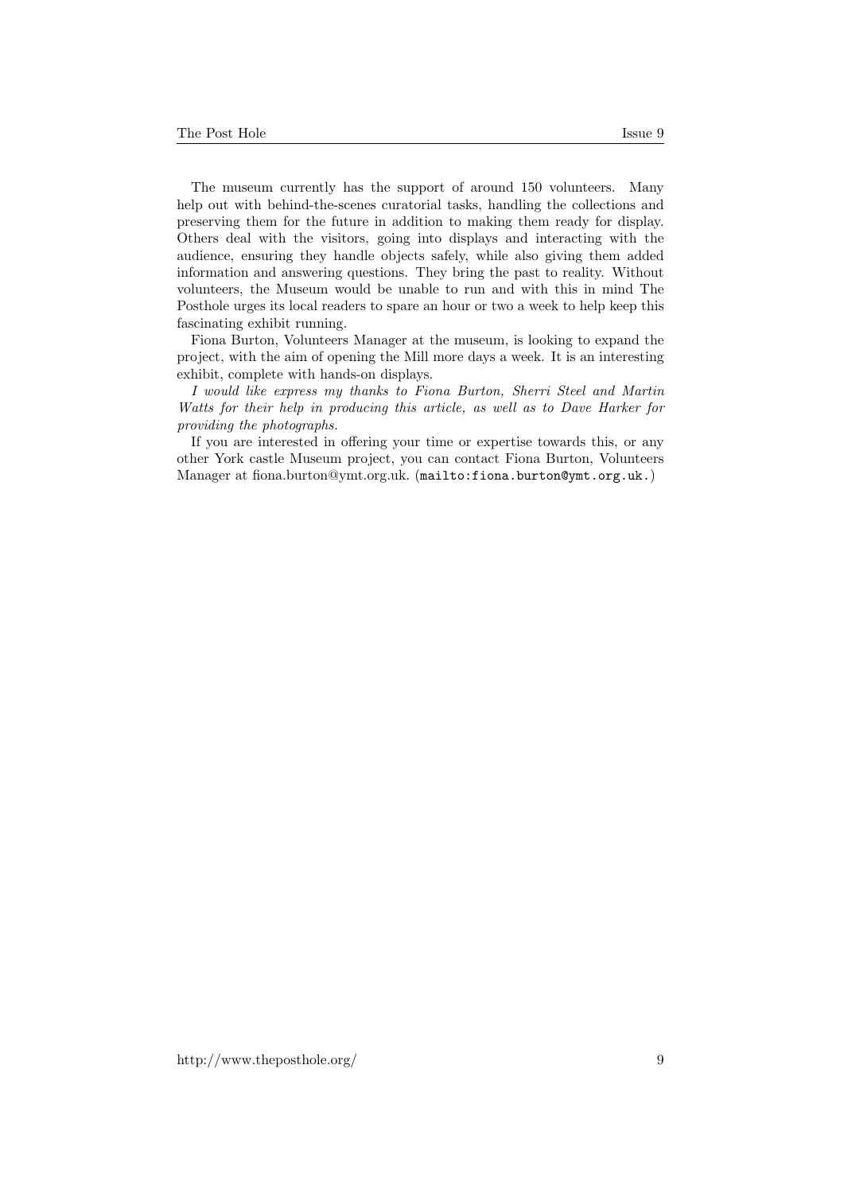The museum currently has the support of around 150 volunteers. Many help out with behind-the-scenes curatorial tasks, handling the collections and preserving them for the future in addition to making them ready for display. Others deal with the visitors, going into displays and interacting with the audience, ensuring they handle objects safely, while also giving them added information and answering questions. They bring the past to reality. Without

volunteers, the Museum would be unable to run and with this in mind The Posthole urges its local readers to spare an hour or two a week to help keep this fascinating exhibit running. Fiona Burton, Volunteers Manager at the museum, is looking to expand the

project, with the aim of opening the Mill more days a week. It is an interesting exhibit, complete with hands-on displays.

I would like express my thanks to Fiona Burton, Sherri Steel and Martin Watts for their help in producing this article, as well as to Dave Harker for providing the photographs.

If you are interested in offering your time or expertise towards this, or any other York castle Museum project, you can contact Fiona Burton, Volunteers Manager at fiona.burton@ymt.org.uk. (<mailto:fiona.burton@ymt.org.uk.>)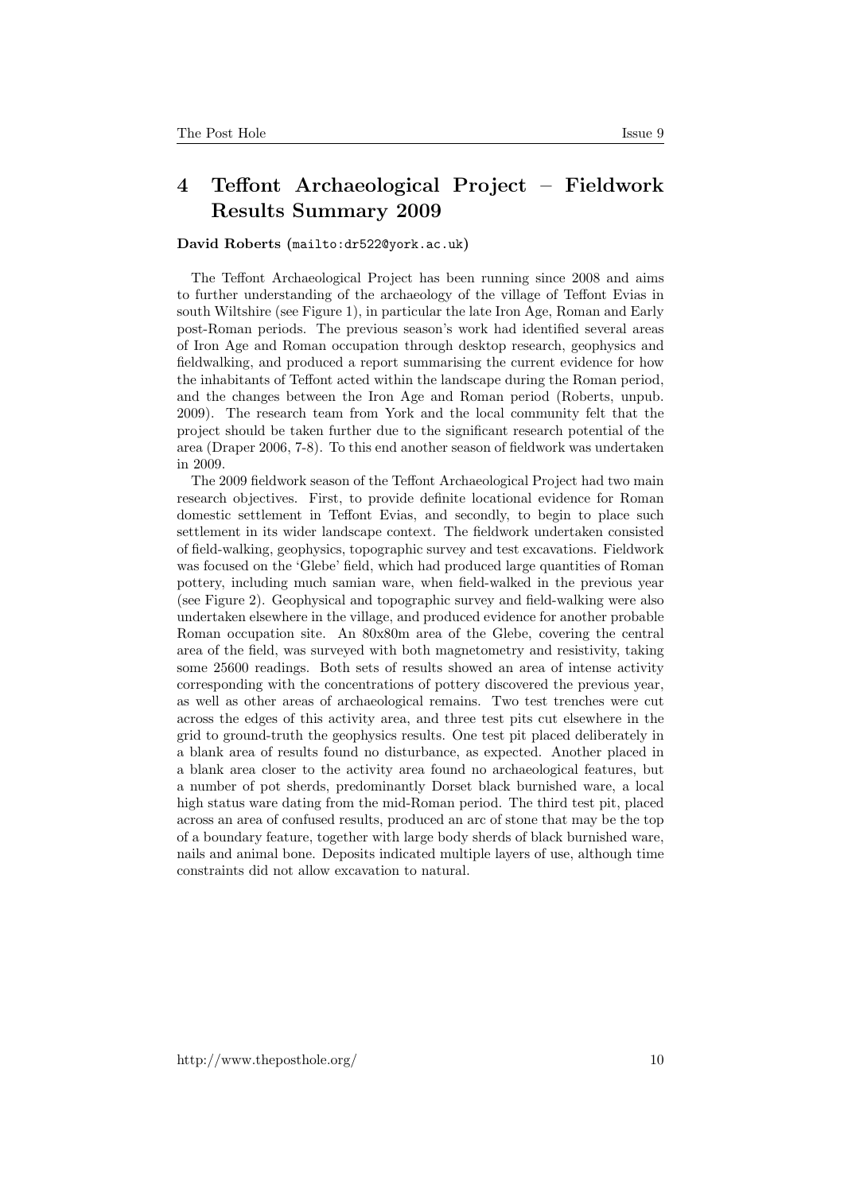## <span id="page-9-0"></span>4 Teffont Archaeological Project – Fieldwork Results Summary 2009

#### David Roberts (<mailto:dr522@york.ac.uk>)

The Teffont Archaeological Project has been running since 2008 and aims to further understanding of the archaeology of the village of Teffont Evias in south Wiltshire (see Figure 1), in particular the late Iron Age, Roman and Early post-Roman periods. The previous season's work had identified several areas of Iron Age and Roman occupation through desktop research, geophysics and fieldwalking, and produced a report summarising the current evidence for how the inhabitants of Teffont acted within the landscape during the Roman period, and the changes between the Iron Age and Roman period (Roberts, unpub. 2009). The research team from York and the local community felt that the project should be taken further due to the significant research potential of the area (Draper 2006, 7-8). To this end another season of fieldwork was undertaken in 2009.

The 2009 fieldwork season of the Teffont Archaeological Project had two main research objectives. First, to provide definite locational evidence for Roman domestic settlement in Teffont Evias, and secondly, to begin to place such settlement in its wider landscape context. The fieldwork undertaken consisted of field-walking, geophysics, topographic survey and test excavations. Fieldwork was focused on the 'Glebe' field, which had produced large quantities of Roman pottery, including much samian ware, when field-walked in the previous year (see Figure 2). Geophysical and topographic survey and field-walking were also undertaken elsewhere in the village, and produced evidence for another probable Roman occupation site. An 80x80m area of the Glebe, covering the central area of the field, was surveyed with both magnetometry and resistivity, taking some 25600 readings. Both sets of results showed an area of intense activity corresponding with the concentrations of pottery discovered the previous year, as well as other areas of archaeological remains. Two test trenches were cut across the edges of this activity area, and three test pits cut elsewhere in the grid to ground-truth the geophysics results. One test pit placed deliberately in a blank area of results found no disturbance, as expected. Another placed in a blank area closer to the activity area found no archaeological features, but a number of pot sherds, predominantly Dorset black burnished ware, a local high status ware dating from the mid-Roman period. The third test pit, placed across an area of confused results, produced an arc of stone that may be the top of a boundary feature, together with large body sherds of black burnished ware, nails and animal bone. Deposits indicated multiple layers of use, although time constraints did not allow excavation to natural.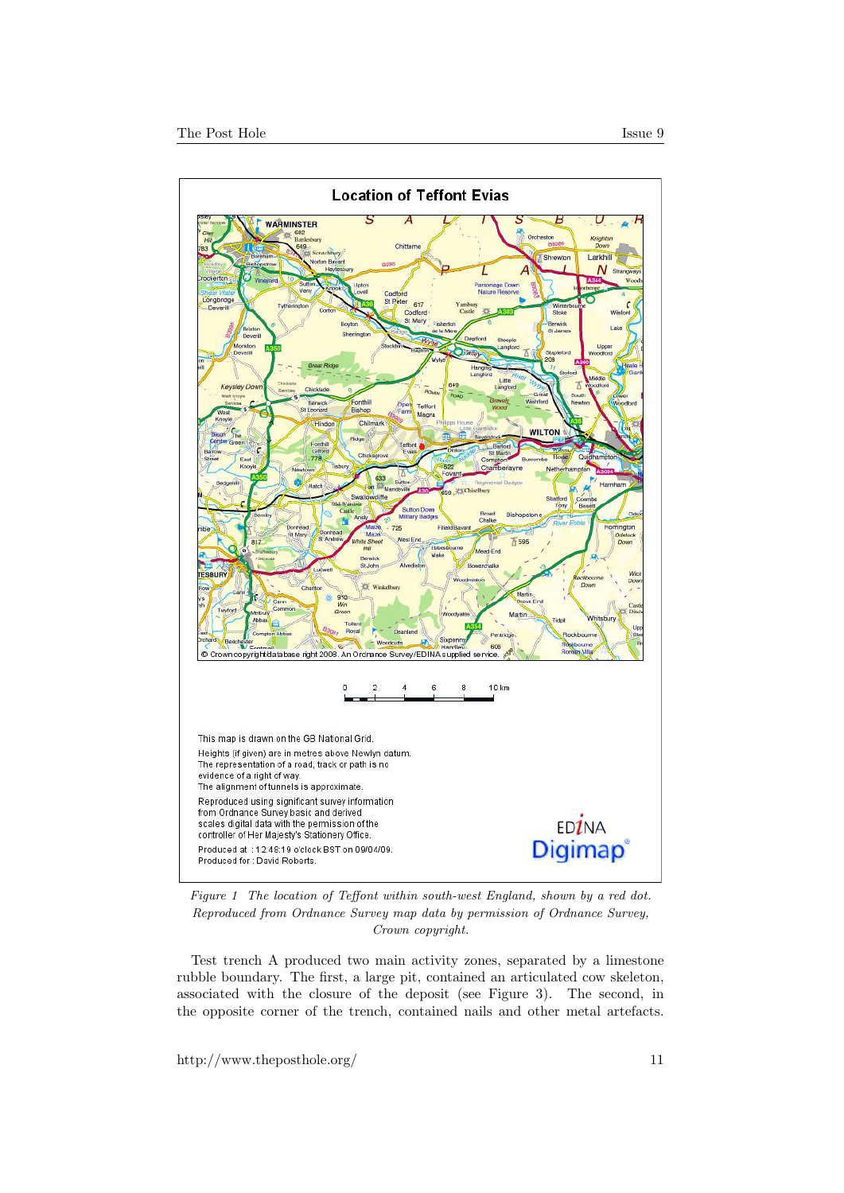

Figure 1 The location of Teffont within south-west England, shown by a red dot. Reproduced from Ordnance Survey map data by permission of Ordnance Survey, Crown copyright.

Test trench A produced two main activity zones, separated by a limestone rubble boundary. The first, a large pit, contained an articulated cow skeleton, associated with the closure of the deposit (see Figure 3). The second, in the opposite corner of the trench, contained nails and other metal artefacts.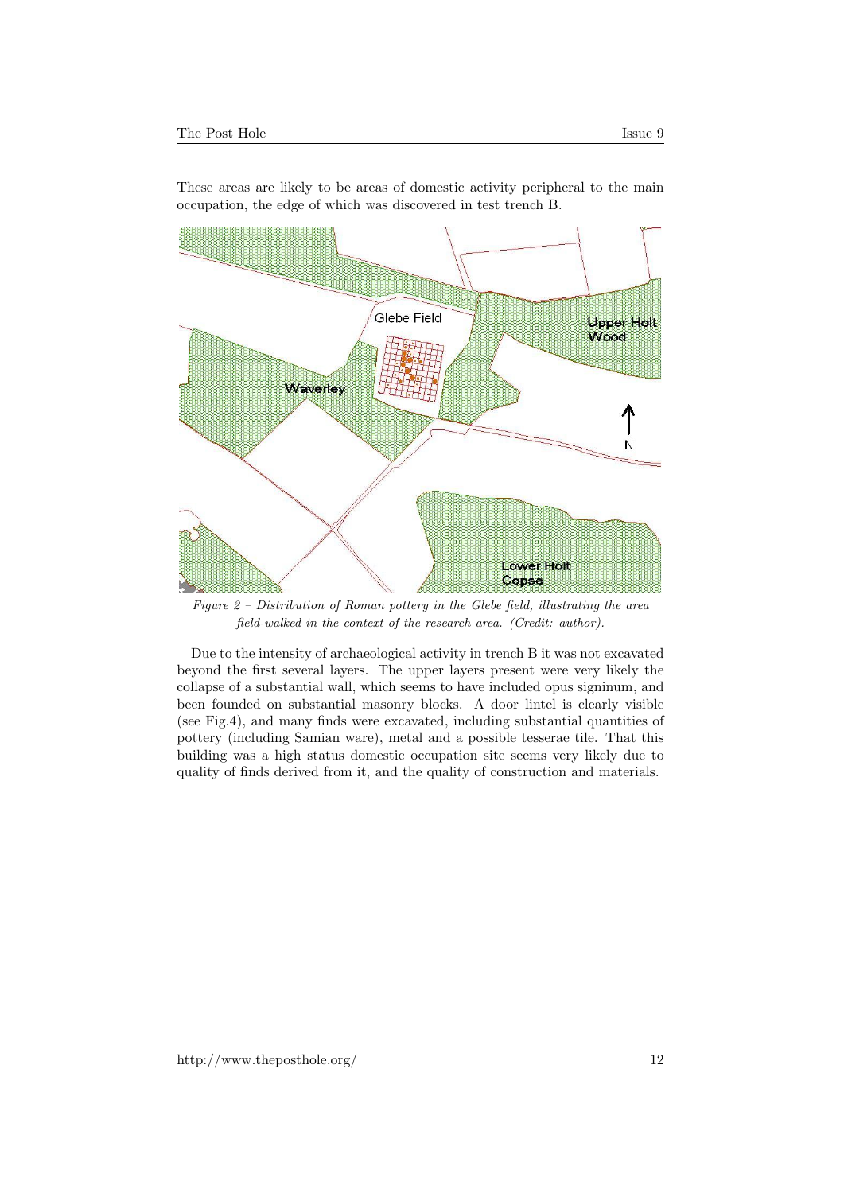

These areas are likely to be areas of domestic activity peripheral to the main occupation, the edge of which was discovered in test trench B.

Figure 2 – Distribution of Roman pottery in the Glebe field, illustrating the area field-walked in the context of the research area. (Credit: author).

Due to the intensity of archaeological activity in trench B it was not excavated beyond the first several layers. The upper layers present were very likely the collapse of a substantial wall, which seems to have included opus signinum, and been founded on substantial masonry blocks. A door lintel is clearly visible (see Fig.4), and many finds were excavated, including substantial quantities of pottery (including Samian ware), metal and a possible tesserae tile. That this building was a high status domestic occupation site seems very likely due to quality of finds derived from it, and the quality of construction and materials.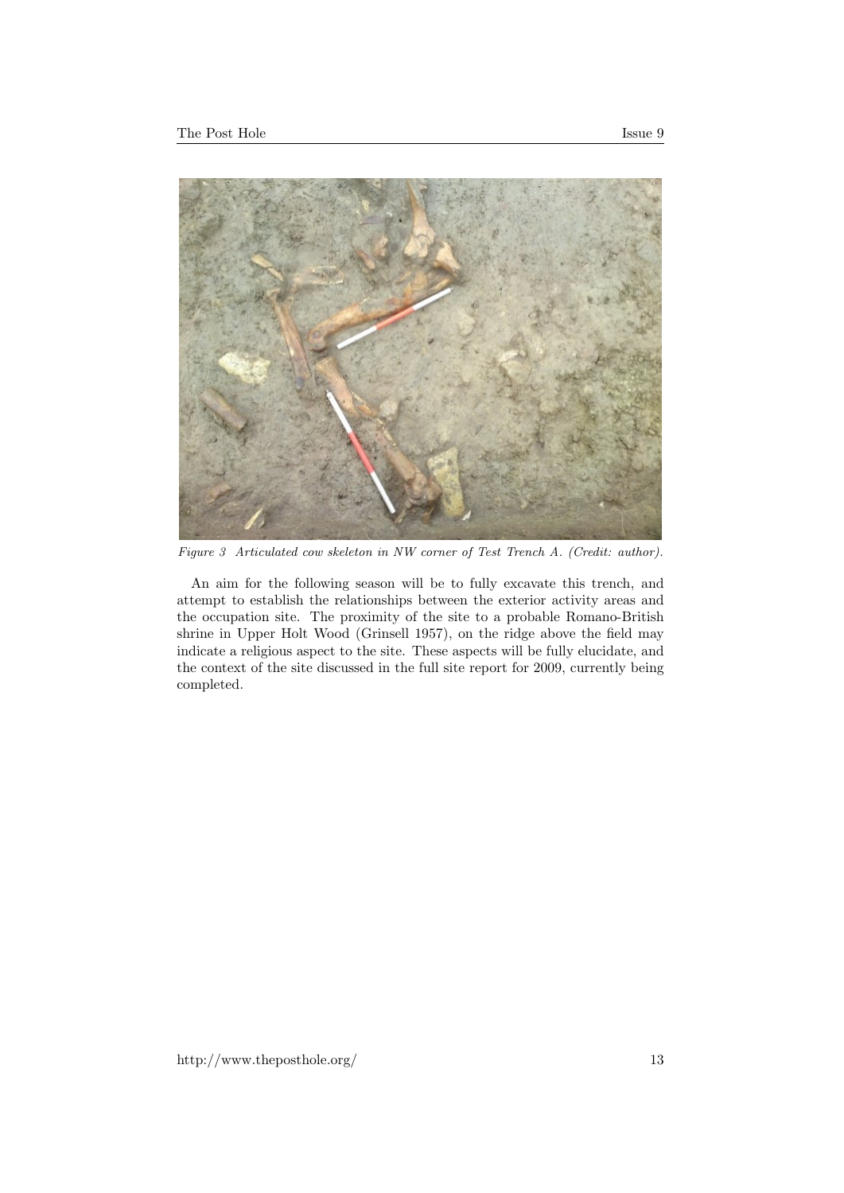

Figure 3 Articulated cow skeleton in NW corner of Test Trench A. (Credit: author).

An aim for the following season will be to fully excavate this trench, and attempt to establish the relationships between the exterior activity areas and the occupation site. The proximity of the site to a probable Romano-British shrine in Upper Holt Wood (Grinsell 1957), on the ridge above the field may indicate a religious aspect to the site. These aspects will be fully elucidate, and the context of the site discussed in the full site report for 2009, currently being completed.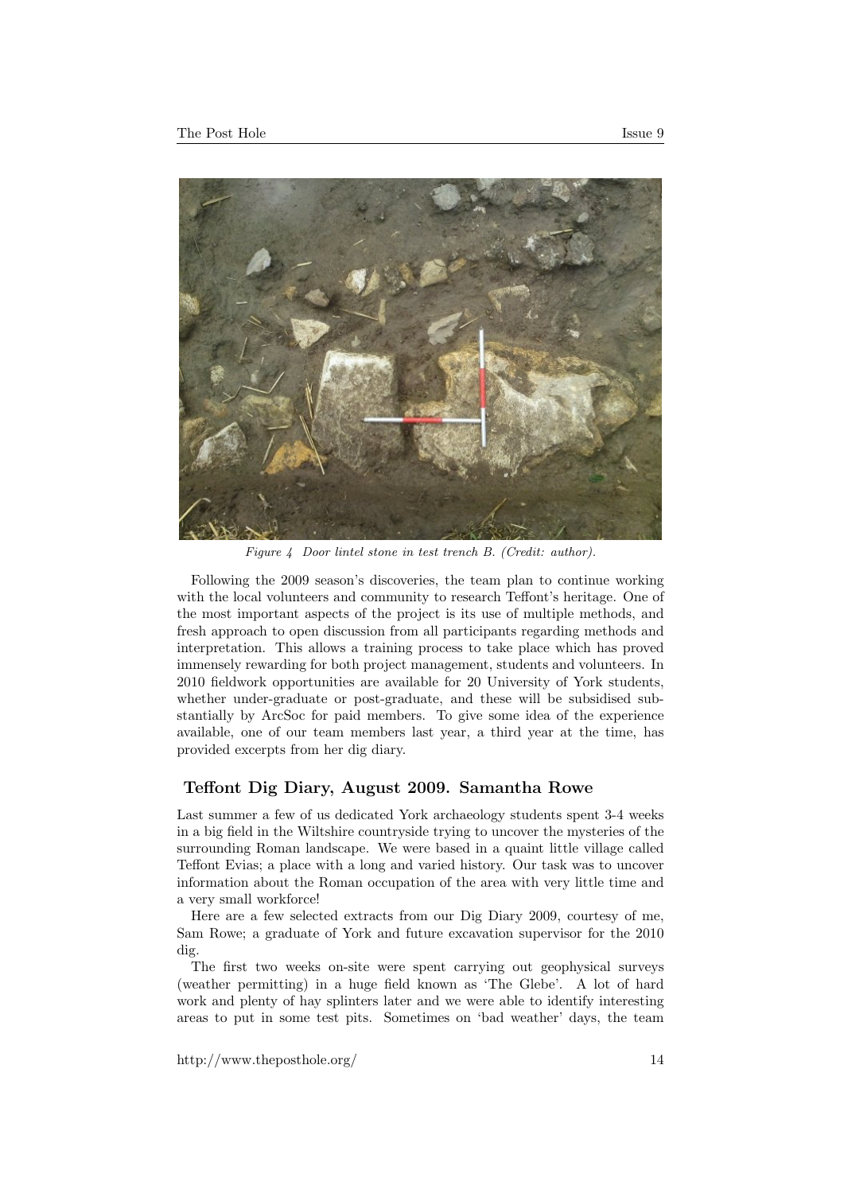



Figure 4 Door lintel stone in test trench B. (Credit: author).

Following the 2009 season's discoveries, the team plan to continue working with the local volunteers and community to research Teffont's heritage. One of the most important aspects of the project is its use of multiple methods, and fresh approach to open discussion from all participants regarding methods and interpretation. This allows a training process to take place which has proved immensely rewarding for both project management, students and volunteers. In 2010 fieldwork opportunities are available for 20 University of York students, whether under-graduate or post-graduate, and these will be subsidised substantially by ArcSoc for paid members. To give some idea of the experience available, one of our team members last year, a third year at the time, has provided excerpts from her dig diary.

#### Teffont Dig Diary, August 2009. Samantha Rowe

Last summer a few of us dedicated York archaeology students spent 3-4 weeks in a big field in the Wiltshire countryside trying to uncover the mysteries of the surrounding Roman landscape. We were based in a quaint little village called Teffont Evias; a place with a long and varied history. Our task was to uncover information about the Roman occupation of the area with very little time and a very small workforce!

Here are a few selected extracts from our Dig Diary 2009, courtesy of me, Sam Rowe; a graduate of York and future excavation supervisor for the 2010 dig.

The first two weeks on-site were spent carrying out geophysical surveys (weather permitting) in a huge field known as 'The Glebe'. A lot of hard work and plenty of hay splinters later and we were able to identify interesting areas to put in some test pits. Sometimes on 'bad weather' days, the team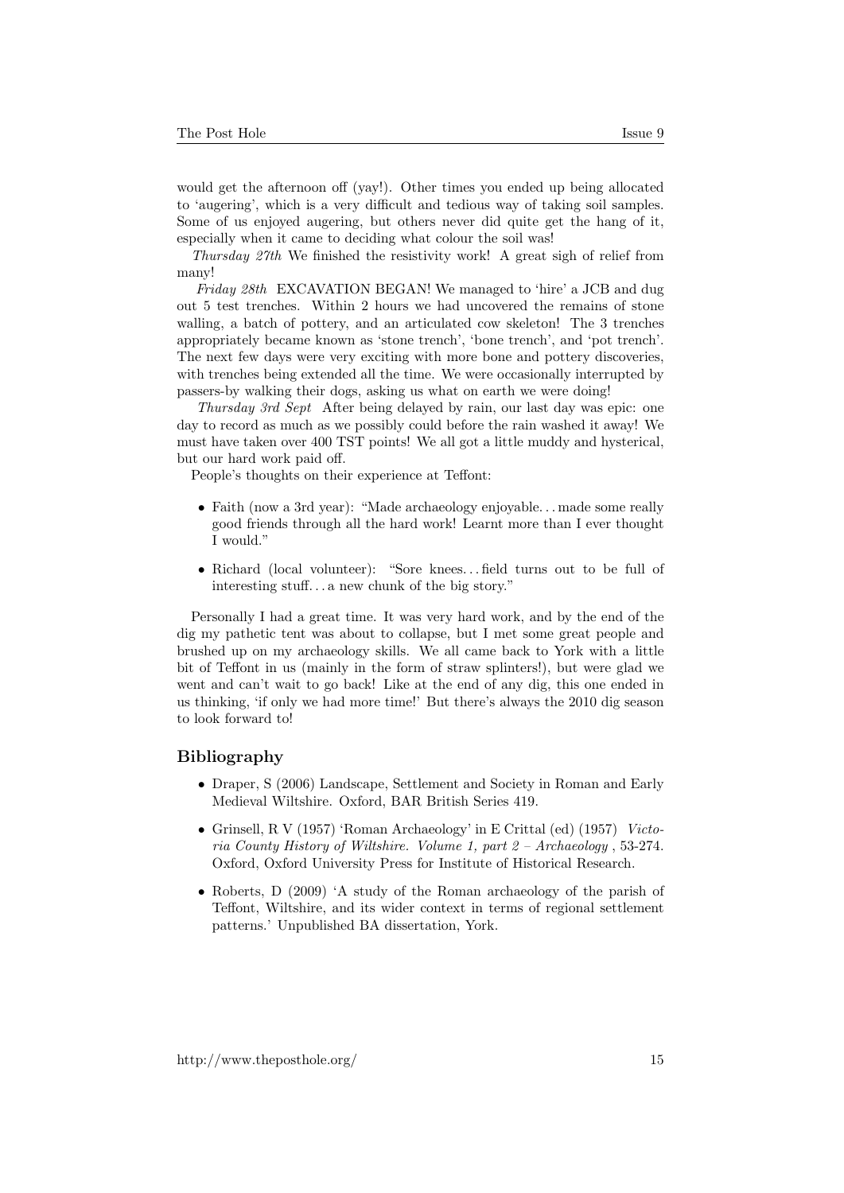would get the afternoon off (yay!). Other times you ended up being allocated to 'augering', which is a very difficult and tedious way of taking soil samples. Some of us enjoyed augering, but others never did quite get the hang of it, especially when it came to deciding what colour the soil was!

Thursday 27th We finished the resistivity work! A great sigh of relief from many!

Friday 28th EXCAVATION BEGAN! We managed to 'hire' a JCB and dug out 5 test trenches. Within 2 hours we had uncovered the remains of stone walling, a batch of pottery, and an articulated cow skeleton! The 3 trenches appropriately became known as 'stone trench', 'bone trench', and 'pot trench'. The next few days were very exciting with more bone and pottery discoveries, with trenches being extended all the time. We were occasionally interrupted by passers-by walking their dogs, asking us what on earth we were doing!

Thursday 3rd Sept After being delayed by rain, our last day was epic: one day to record as much as we possibly could before the rain washed it away! We must have taken over 400 TST points! We all got a little muddy and hysterical, but our hard work paid off.

People's thoughts on their experience at Teffont:

- Faith (now a 3rd year): "Made archaeology enjoyable... made some really good friends through all the hard work! Learnt more than I ever thought I would."
- Richard (local volunteer): "Sore knees. . . field turns out to be full of interesting stuff. . . a new chunk of the big story."

Personally I had a great time. It was very hard work, and by the end of the dig my pathetic tent was about to collapse, but I met some great people and brushed up on my archaeology skills. We all came back to York with a little bit of Teffont in us (mainly in the form of straw splinters!), but were glad we went and can't wait to go back! Like at the end of any dig, this one ended in us thinking, 'if only we had more time!' But there's always the 2010 dig season to look forward to!

#### Bibliography

- Draper, S (2006) Landscape, Settlement and Society in Roman and Early Medieval Wiltshire. Oxford, BAR British Series 419.
- Grinsell, R V (1957) 'Roman Archaeology' in E Crittal (ed) (1957) Victoria County History of Wiltshire. Volume 1, part 2 – Archaeology , 53-274. Oxford, Oxford University Press for Institute of Historical Research.
- Roberts, D (2009) 'A study of the Roman archaeology of the parish of Teffont, Wiltshire, and its wider context in terms of regional settlement patterns.' Unpublished BA dissertation, York.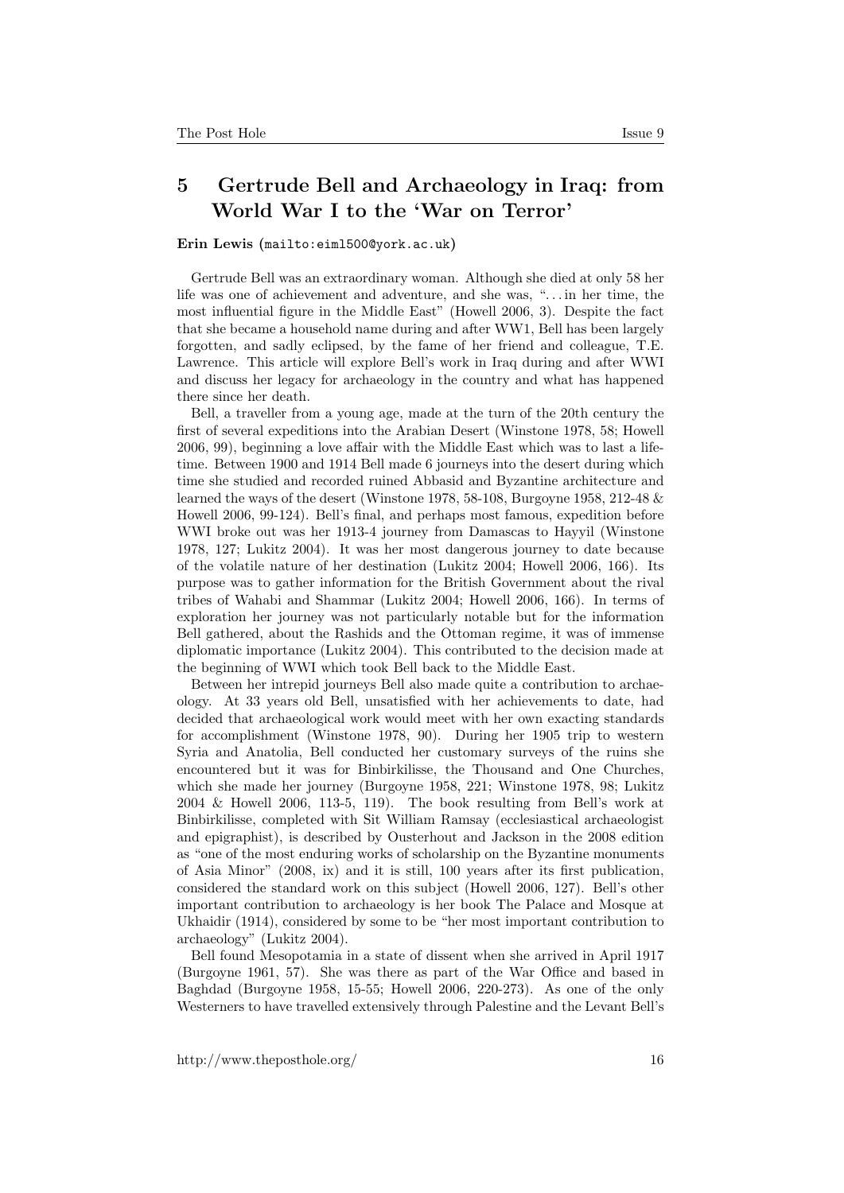### <span id="page-15-0"></span>5 Gertrude Bell and Archaeology in Iraq: from World War I to the 'War on Terror'

#### Erin Lewis ([mailto:eiml500@york.ac.uk](mailto:eiml500@york.ac.uk ))

Gertrude Bell was an extraordinary woman. Although she died at only 58 her life was one of achievement and adventure, and she was, ". . . in her time, the most influential figure in the Middle East" (Howell 2006, 3). Despite the fact that she became a household name during and after WW1, Bell has been largely forgotten, and sadly eclipsed, by the fame of her friend and colleague, T.E. Lawrence. This article will explore Bell's work in Iraq during and after WWI and discuss her legacy for archaeology in the country and what has happened there since her death.

Bell, a traveller from a young age, made at the turn of the 20th century the first of several expeditions into the Arabian Desert (Winstone 1978, 58; Howell 2006, 99), beginning a love affair with the Middle East which was to last a lifetime. Between 1900 and 1914 Bell made 6 journeys into the desert during which time she studied and recorded ruined Abbasid and Byzantine architecture and learned the ways of the desert (Winstone 1978, 58-108, Burgoyne 1958, 212-48  $\&$ Howell 2006, 99-124). Bell's final, and perhaps most famous, expedition before WWI broke out was her 1913-4 journey from Damascas to Hayyil (Winstone 1978, 127; Lukitz 2004). It was her most dangerous journey to date because of the volatile nature of her destination (Lukitz 2004; Howell 2006, 166). Its purpose was to gather information for the British Government about the rival tribes of Wahabi and Shammar (Lukitz 2004; Howell 2006, 166). In terms of exploration her journey was not particularly notable but for the information Bell gathered, about the Rashids and the Ottoman regime, it was of immense diplomatic importance (Lukitz 2004). This contributed to the decision made at the beginning of WWI which took Bell back to the Middle East.

Between her intrepid journeys Bell also made quite a contribution to archaeology. At 33 years old Bell, unsatisfied with her achievements to date, had decided that archaeological work would meet with her own exacting standards for accomplishment (Winstone 1978, 90). During her 1905 trip to western Syria and Anatolia, Bell conducted her customary surveys of the ruins she encountered but it was for Binbirkilisse, the Thousand and One Churches, which she made her journey (Burgoyne 1958, 221; Winstone 1978, 98; Lukitz 2004 & Howell 2006, 113-5, 119). The book resulting from Bell's work at Binbirkilisse, completed with Sit William Ramsay (ecclesiastical archaeologist and epigraphist), is described by Ousterhout and Jackson in the 2008 edition as "one of the most enduring works of scholarship on the Byzantine monuments of Asia Minor" (2008, ix) and it is still, 100 years after its first publication, considered the standard work on this subject (Howell 2006, 127). Bell's other important contribution to archaeology is her book The Palace and Mosque at Ukhaidir (1914), considered by some to be "her most important contribution to archaeology" (Lukitz 2004).

Bell found Mesopotamia in a state of dissent when she arrived in April 1917 (Burgoyne 1961, 57). She was there as part of the War Office and based in Baghdad (Burgoyne 1958, 15-55; Howell 2006, 220-273). As one of the only Westerners to have travelled extensively through Palestine and the Levant Bell's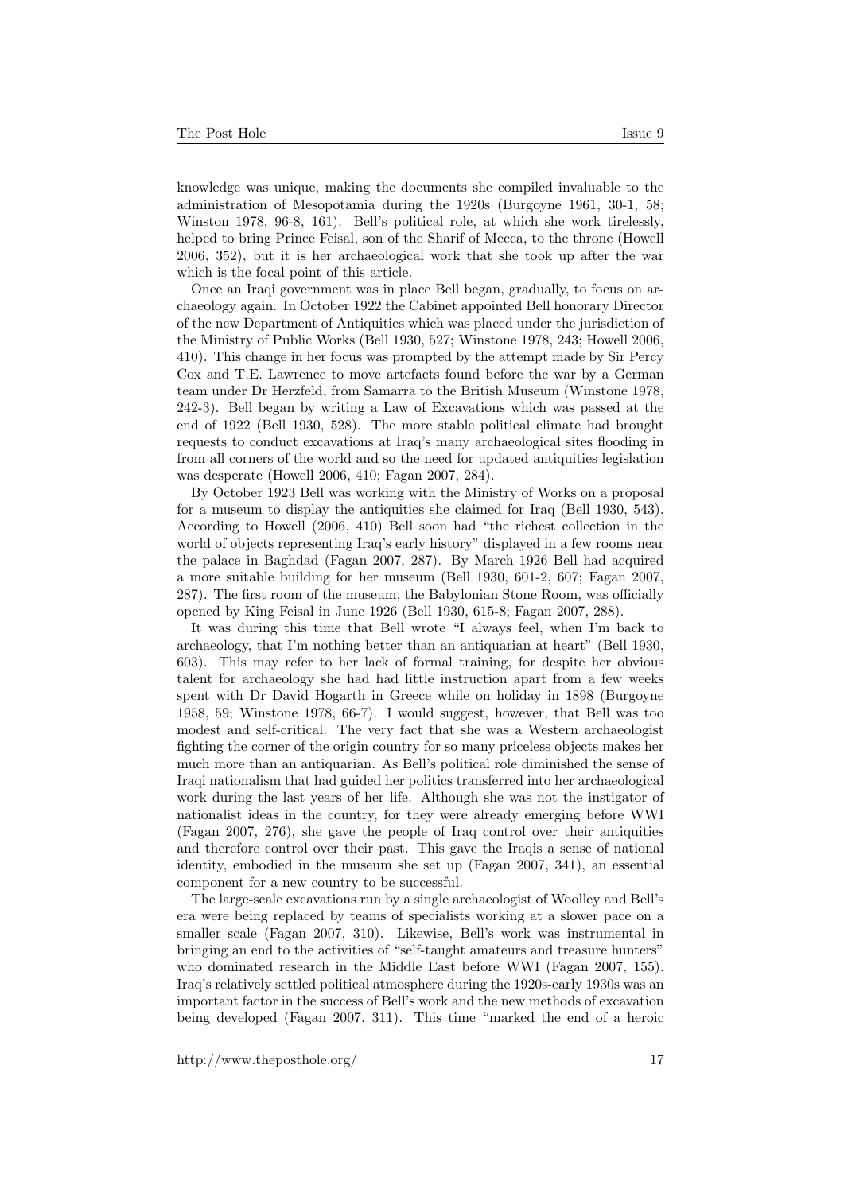knowledge was unique, making the documents she compiled invaluable to the administration of Mesopotamia during the 1920s (Burgoyne 1961, 30-1, 58; Winston 1978, 96-8, 161). Bell's political role, at which she work tirelessly, helped to bring Prince Feisal, son of the Sharif of Mecca, to the throne (Howell 2006, 352), but it is her archaeological work that she took up after the war which is the focal point of this article.

Once an Iraqi government was in place Bell began, gradually, to focus on archaeology again. In October 1922 the Cabinet appointed Bell honorary Director of the new Department of Antiquities which was placed under the jurisdiction of the Ministry of Public Works (Bell 1930, 527; Winstone 1978, 243; Howell 2006, 410). This change in her focus was prompted by the attempt made by Sir Percy Cox and T.E. Lawrence to move artefacts found before the war by a German team under Dr Herzfeld, from Samarra to the British Museum (Winstone 1978, 242-3). Bell began by writing a Law of Excavations which was passed at the end of 1922 (Bell 1930, 528). The more stable political climate had brought requests to conduct excavations at Iraq's many archaeological sites flooding in from all corners of the world and so the need for updated antiquities legislation was desperate (Howell 2006, 410; Fagan 2007, 284).

By October 1923 Bell was working with the Ministry of Works on a proposal for a museum to display the antiquities she claimed for Iraq (Bell 1930, 543). According to Howell (2006, 410) Bell soon had "the richest collection in the world of objects representing Iraq's early history" displayed in a few rooms near the palace in Baghdad (Fagan 2007, 287). By March 1926 Bell had acquired a more suitable building for her museum (Bell 1930, 601-2, 607; Fagan 2007, 287). The first room of the museum, the Babylonian Stone Room, was officially opened by King Feisal in June 1926 (Bell 1930, 615-8; Fagan 2007, 288).

It was during this time that Bell wrote "I always feel, when I'm back to archaeology, that I'm nothing better than an antiquarian at heart" (Bell 1930, 603). This may refer to her lack of formal training, for despite her obvious talent for archaeology she had had little instruction apart from a few weeks spent with Dr David Hogarth in Greece while on holiday in 1898 (Burgoyne 1958, 59; Winstone 1978, 66-7). I would suggest, however, that Bell was too modest and self-critical. The very fact that she was a Western archaeologist fighting the corner of the origin country for so many priceless objects makes her much more than an antiquarian. As Bell's political role diminished the sense of Iraqi nationalism that had guided her politics transferred into her archaeological work during the last years of her life. Although she was not the instigator of nationalist ideas in the country, for they were already emerging before WWI (Fagan 2007, 276), she gave the people of Iraq control over their antiquities and therefore control over their past. This gave the Iraqis a sense of national identity, embodied in the museum she set up (Fagan 2007, 341), an essential component for a new country to be successful.

The large-scale excavations run by a single archaeologist of Woolley and Bell's era were being replaced by teams of specialists working at a slower pace on a smaller scale (Fagan 2007, 310). Likewise, Bell's work was instrumental in bringing an end to the activities of "self-taught amateurs and treasure hunters" who dominated research in the Middle East before WWI (Fagan 2007, 155). Iraq's relatively settled political atmosphere during the 1920s-early 1930s was an important factor in the success of Bell's work and the new methods of excavation being developed (Fagan 2007, 311). This time "marked the end of a heroic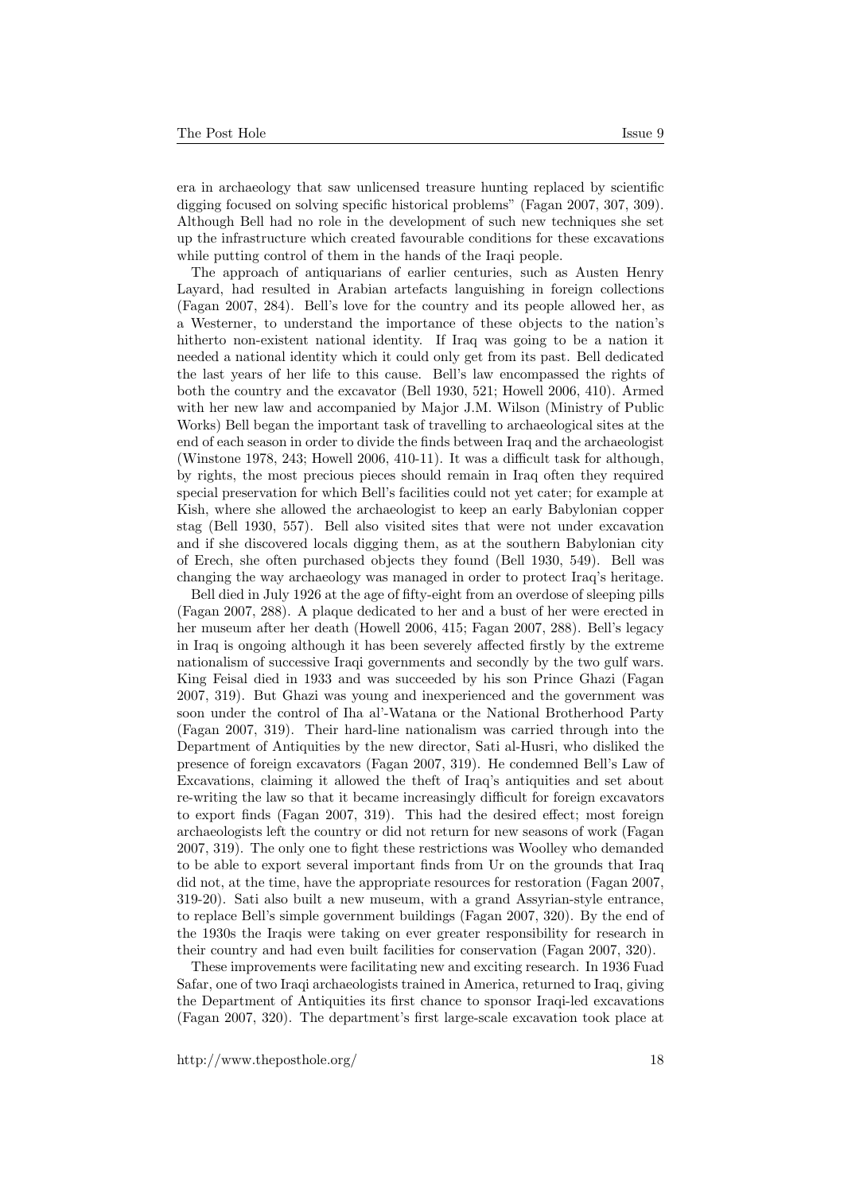era in archaeology that saw unlicensed treasure hunting replaced by scientific digging focused on solving specific historical problems" (Fagan 2007, 307, 309). Although Bell had no role in the development of such new techniques she set up the infrastructure which created favourable conditions for these excavations while putting control of them in the hands of the Iraqi people.

The approach of antiquarians of earlier centuries, such as Austen Henry Layard, had resulted in Arabian artefacts languishing in foreign collections (Fagan 2007, 284). Bell's love for the country and its people allowed her, as a Westerner, to understand the importance of these objects to the nation's hitherto non-existent national identity. If Iraq was going to be a nation it needed a national identity which it could only get from its past. Bell dedicated the last years of her life to this cause. Bell's law encompassed the rights of both the country and the excavator (Bell 1930, 521; Howell 2006, 410). Armed with her new law and accompanied by Major J.M. Wilson (Ministry of Public Works) Bell began the important task of travelling to archaeological sites at the end of each season in order to divide the finds between Iraq and the archaeologist (Winstone 1978, 243; Howell 2006, 410-11). It was a difficult task for although, by rights, the most precious pieces should remain in Iraq often they required special preservation for which Bell's facilities could not yet cater; for example at Kish, where she allowed the archaeologist to keep an early Babylonian copper stag (Bell 1930, 557). Bell also visited sites that were not under excavation and if she discovered locals digging them, as at the southern Babylonian city of Erech, she often purchased objects they found (Bell 1930, 549). Bell was changing the way archaeology was managed in order to protect Iraq's heritage.

Bell died in July 1926 at the age of fifty-eight from an overdose of sleeping pills (Fagan 2007, 288). A plaque dedicated to her and a bust of her were erected in her museum after her death (Howell 2006, 415; Fagan 2007, 288). Bell's legacy in Iraq is ongoing although it has been severely affected firstly by the extreme nationalism of successive Iraqi governments and secondly by the two gulf wars. King Feisal died in 1933 and was succeeded by his son Prince Ghazi (Fagan 2007, 319). But Ghazi was young and inexperienced and the government was soon under the control of Iha al'-Watana or the National Brotherhood Party (Fagan 2007, 319). Their hard-line nationalism was carried through into the Department of Antiquities by the new director, Sati al-Husri, who disliked the presence of foreign excavators (Fagan 2007, 319). He condemned Bell's Law of Excavations, claiming it allowed the theft of Iraq's antiquities and set about re-writing the law so that it became increasingly difficult for foreign excavators to export finds (Fagan 2007, 319). This had the desired effect; most foreign archaeologists left the country or did not return for new seasons of work (Fagan 2007, 319). The only one to fight these restrictions was Woolley who demanded to be able to export several important finds from Ur on the grounds that Iraq did not, at the time, have the appropriate resources for restoration (Fagan 2007, 319-20). Sati also built a new museum, with a grand Assyrian-style entrance, to replace Bell's simple government buildings (Fagan 2007, 320). By the end of the 1930s the Iraqis were taking on ever greater responsibility for research in their country and had even built facilities for conservation (Fagan 2007, 320).

These improvements were facilitating new and exciting research. In 1936 Fuad Safar, one of two Iraqi archaeologists trained in America, returned to Iraq, giving the Department of Antiquities its first chance to sponsor Iraqi-led excavations (Fagan 2007, 320). The department's first large-scale excavation took place at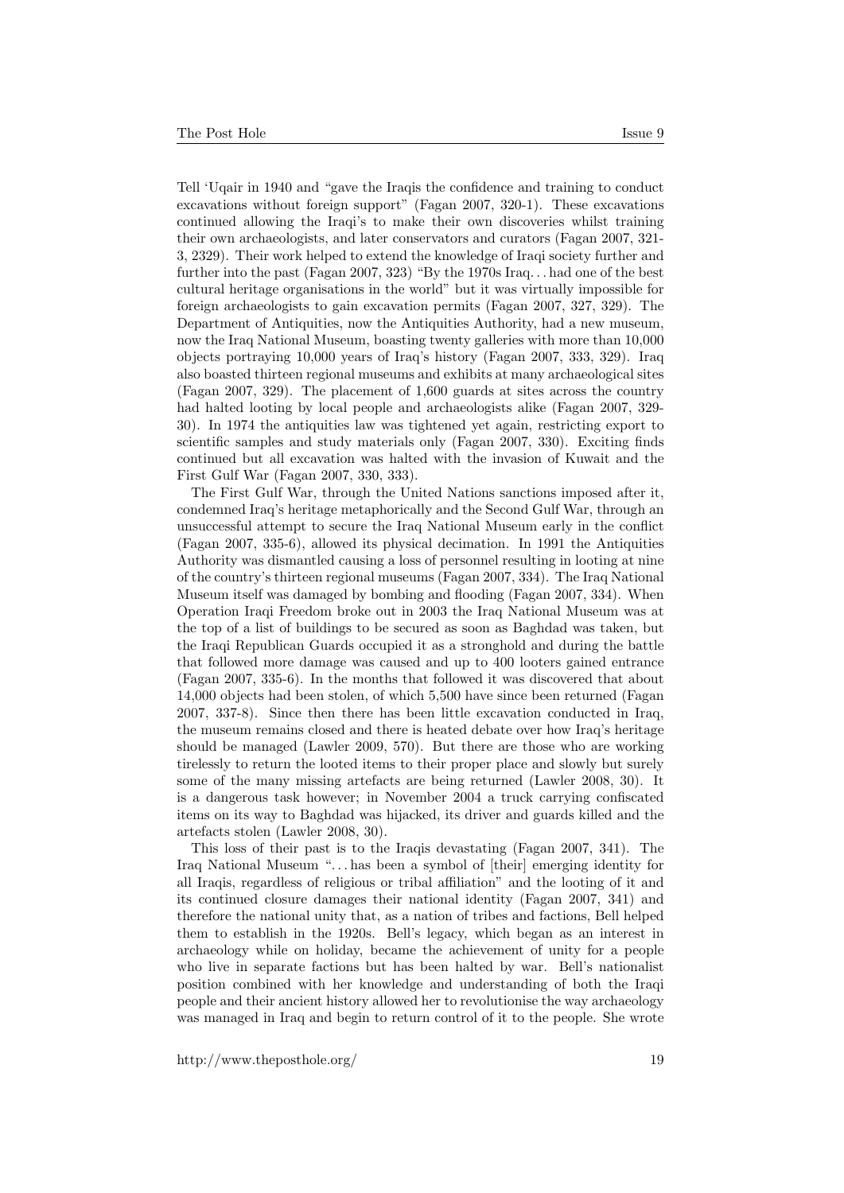Tell 'Uqair in 1940 and "gave the Iraqis the confidence and training to conduct excavations without foreign support" (Fagan 2007, 320-1). These excavations continued allowing the Iraqi's to make their own discoveries whilst training their own archaeologists, and later conservators and curators (Fagan 2007, 321- 3, 2329). Their work helped to extend the knowledge of Iraqi society further and further into the past (Fagan 2007, 323) "By the 1970s Iraq. . . had one of the best cultural heritage organisations in the world" but it was virtually impossible for foreign archaeologists to gain excavation permits (Fagan 2007, 327, 329). The Department of Antiquities, now the Antiquities Authority, had a new museum, now the Iraq National Museum, boasting twenty galleries with more than 10,000 objects portraying 10,000 years of Iraq's history (Fagan 2007, 333, 329). Iraq also boasted thirteen regional museums and exhibits at many archaeological sites (Fagan 2007, 329). The placement of 1,600 guards at sites across the country had halted looting by local people and archaeologists alike (Fagan 2007, 329- 30). In 1974 the antiquities law was tightened yet again, restricting export to scientific samples and study materials only (Fagan 2007, 330). Exciting finds continued but all excavation was halted with the invasion of Kuwait and the First Gulf War (Fagan 2007, 330, 333).

The First Gulf War, through the United Nations sanctions imposed after it, condemned Iraq's heritage metaphorically and the Second Gulf War, through an unsuccessful attempt to secure the Iraq National Museum early in the conflict (Fagan 2007, 335-6), allowed its physical decimation. In 1991 the Antiquities Authority was dismantled causing a loss of personnel resulting in looting at nine of the country's thirteen regional museums (Fagan 2007, 334). The Iraq National Museum itself was damaged by bombing and flooding (Fagan 2007, 334). When Operation Iraqi Freedom broke out in 2003 the Iraq National Museum was at the top of a list of buildings to be secured as soon as Baghdad was taken, but the Iraqi Republican Guards occupied it as a stronghold and during the battle that followed more damage was caused and up to 400 looters gained entrance (Fagan 2007, 335-6). In the months that followed it was discovered that about 14,000 objects had been stolen, of which 5,500 have since been returned (Fagan 2007, 337-8). Since then there has been little excavation conducted in Iraq, the museum remains closed and there is heated debate over how Iraq's heritage should be managed (Lawler 2009, 570). But there are those who are working tirelessly to return the looted items to their proper place and slowly but surely some of the many missing artefacts are being returned (Lawler 2008, 30). It is a dangerous task however; in November 2004 a truck carrying confiscated items on its way to Baghdad was hijacked, its driver and guards killed and the artefacts stolen (Lawler 2008, 30).

This loss of their past is to the Iraqis devastating (Fagan 2007, 341). The Iraq National Museum ". . . has been a symbol of [their] emerging identity for all Iraqis, regardless of religious or tribal affiliation" and the looting of it and its continued closure damages their national identity (Fagan 2007, 341) and therefore the national unity that, as a nation of tribes and factions, Bell helped them to establish in the 1920s. Bell's legacy, which began as an interest in archaeology while on holiday, became the achievement of unity for a people who live in separate factions but has been halted by war. Bell's nationalist position combined with her knowledge and understanding of both the Iraqi people and their ancient history allowed her to revolutionise the way archaeology was managed in Iraq and begin to return control of it to the people. She wrote